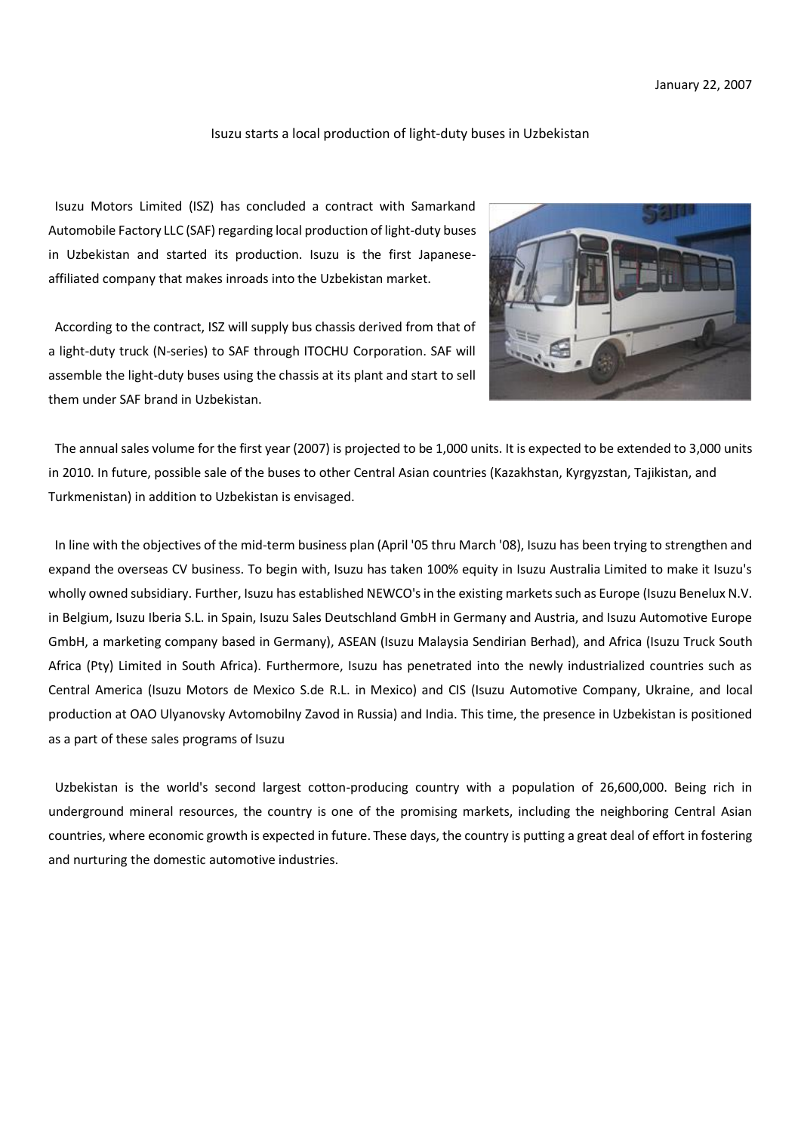## Isuzu starts a local production of light-duty buses in Uzbekistan

Isuzu Motors Limited (ISZ) has concluded a contract with Samarkand Automobile Factory LLC (SAF) regarding local production of light-duty buses in Uzbekistan and started its production. Isuzu is the first Japaneseaffiliated company that makes inroads into the Uzbekistan market.

According to the contract, ISZ will supply bus chassis derived from that of a light-duty truck (N-series) to SAF through ITOCHU Corporation. SAF will assemble the light-duty buses using the chassis at its plant and start to sell them under SAF brand in Uzbekistan.



The annual sales volume for the first year (2007) is projected to be 1,000 units. It is expected to be extended to 3,000 units in 2010. In future, possible sale of the buses to other Central Asian countries (Kazakhstan, Kyrgyzstan, Tajikistan, and Turkmenistan) in addition to Uzbekistan is envisaged.

In line with the objectives of the mid-term business plan (April '05 thru March '08), Isuzu has been trying to strengthen and expand the overseas CV business. To begin with, Isuzu has taken 100% equity in Isuzu Australia Limited to make it Isuzu's wholly owned subsidiary. Further, Isuzu has established NEWCO's in the existing markets such as Europe (Isuzu Benelux N.V. in Belgium, Isuzu Iberia S.L. in Spain, Isuzu Sales Deutschland GmbH in Germany and Austria, and Isuzu Automotive Europe GmbH, a marketing company based in Germany), ASEAN (Isuzu Malaysia Sendirian Berhad), and Africa (Isuzu Truck South Africa (Pty) Limited in South Africa). Furthermore, Isuzu has penetrated into the newly industrialized countries such as Central America (Isuzu Motors de Mexico S.de R.L. in Mexico) and CIS (Isuzu Automotive Company, Ukraine, and local production at OAO Ulyanovsky Avtomobilny Zavod in Russia) and India. This time, the presence in Uzbekistan is positioned as a part of these sales programs of Isuzu

Uzbekistan is the world's second largest cotton-producing country with a population of 26,600,000. Being rich in underground mineral resources, the country is one of the promising markets, including the neighboring Central Asian countries, where economic growth is expected in future. These days, the country is putting a great deal of effort in fostering and nurturing the domestic automotive industries.